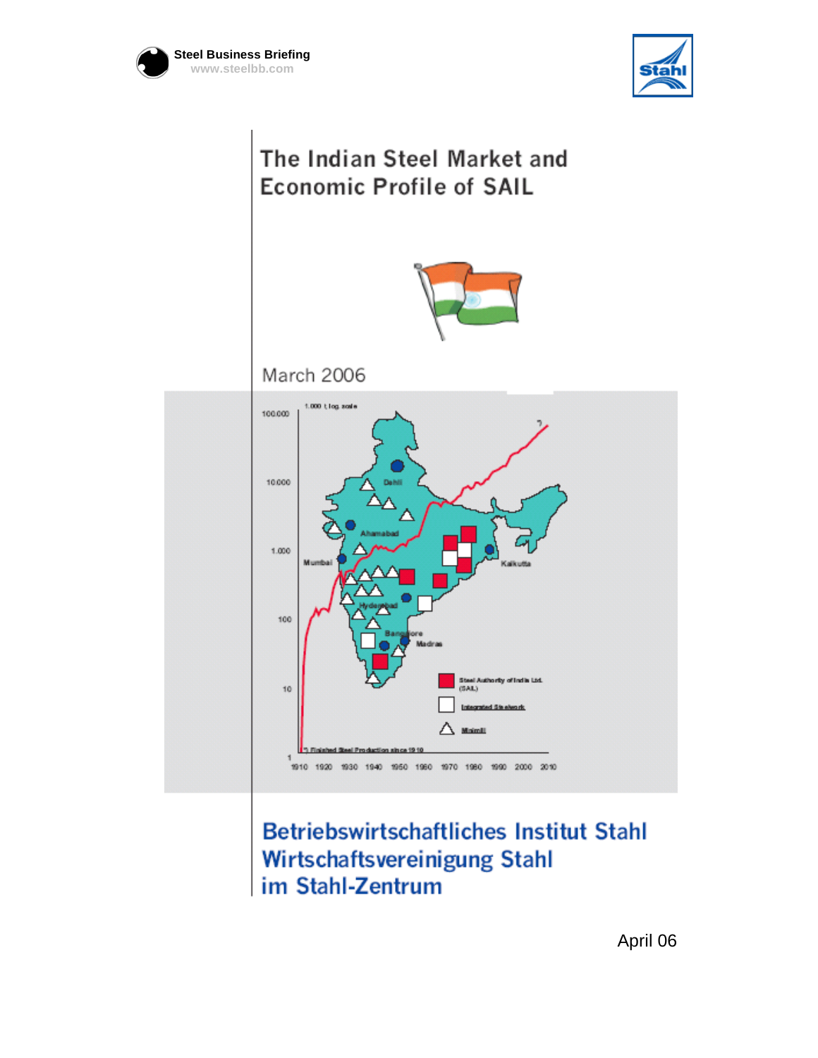





## **Betriebswirtschaftliches Institut Stahl** Wirtschaftsvereinigung Stahl im Stahl-Zentrum

April 06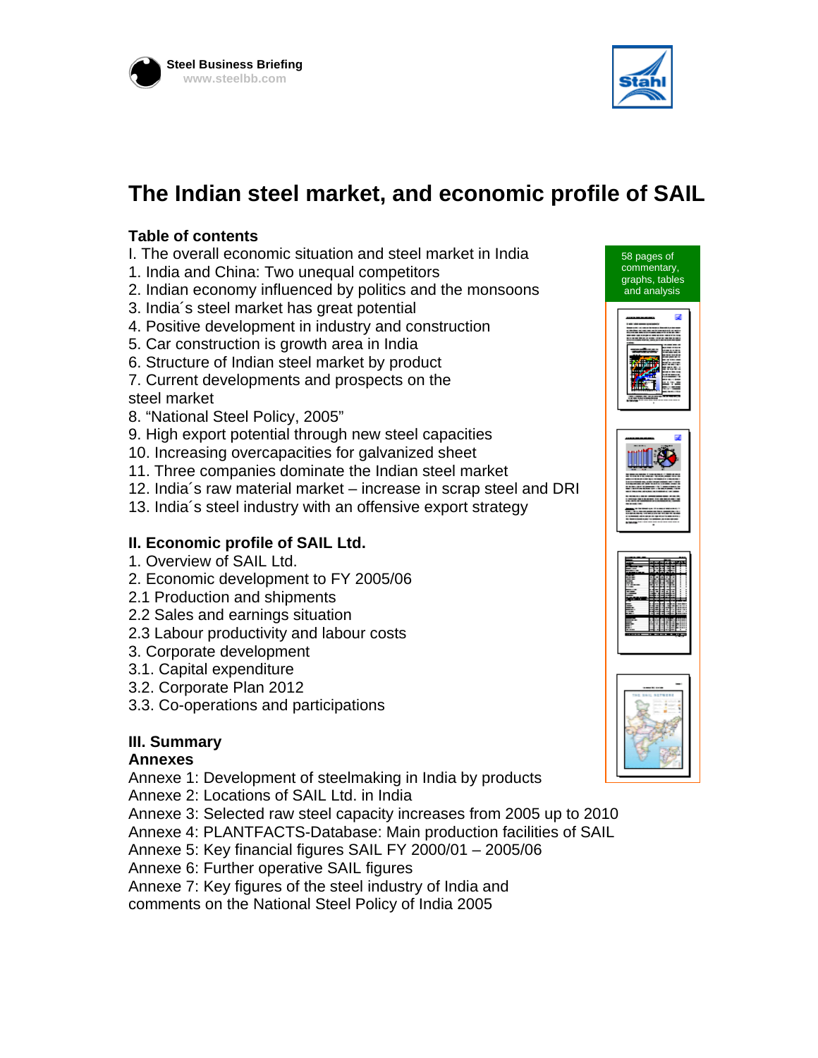



## **The Indian steel market, and economic profile of SAIL**

### **Table of contents**

- I. The overall economic situation and steel market in India
- 1. India and China: Two unequal competitors
- 2. Indian economy influenced by politics and the monsoons
- 3. India´s steel market has great potential
- 4. Positive development in industry and construction
- 5. Car construction is growth area in India
- 6. Structure of Indian steel market by product
- 7. Current developments and prospects on the steel market
- 8. "National Steel Policy, 2005"
- 9. High export potential through new steel capacities
- 10. Increasing overcapacities for galvanized sheet
- 11. Three companies dominate the Indian steel market
- 12. India´s raw material market increase in scrap steel and DRI
- 13. India´s steel industry with an offensive export strategy

#### **II. Economic profile of SAIL Ltd.**

- 1. Overview of SAIL Ltd.
- 2. Economic development to FY 2005/06
- 2.1 Production and shipments
- 2.2 Sales and earnings situation
- 2.3 Labour productivity and labour costs
- 3. Corporate development
- 3.1. Capital expenditure
- 3.2. Corporate Plan 2012
- 3.3. Co-operations and participations

### **III. Summary**

#### **Annexes**

Annexe 1: Development of steelmaking in India by products

Annexe 2: Locations of SAIL Ltd. in India

- Annexe 3: Selected raw steel capacity increases from 2005 up to 2010
- Annexe 4: PLANTFACTS-Database: Main production facilities of SAIL
- Annexe 5: Key financial figures SAIL FY 2000/01 2005/06

Annexe 6: Further operative SAIL figures

Annexe 7: Key figures of the steel industry of India and

comments on the National Steel Policy of India 2005



58 pages of commentary,